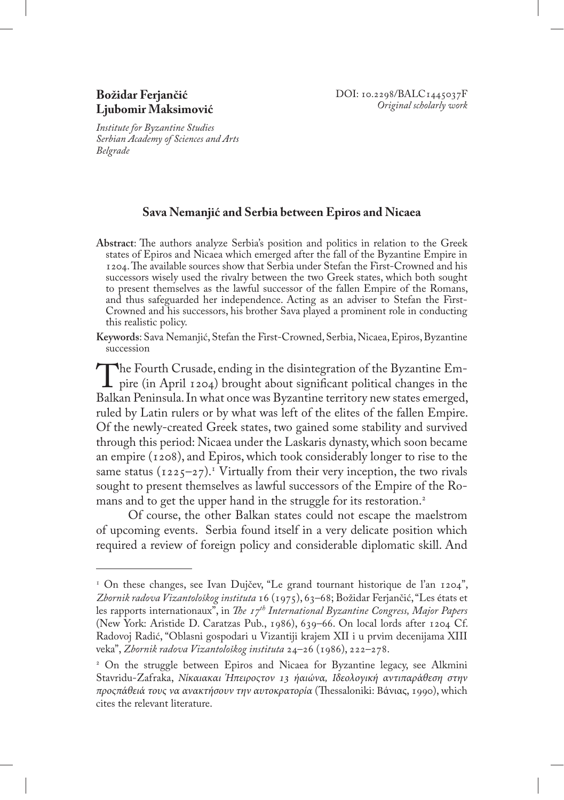*Institute for Byzantine Studies Serbian Academy of Sciences and Arts Belgrade*

## **Sava Nemanjić and Serbia between Epiros and Nicaea**

- **Abstract**: The authors analyze Serbia's position and politics in relation to the Greek states of Epiros and Nicaea which emerged after the fall of the Byzantine Empire in 1204. The available sources show that Serbia under Stefan the First-Crowned and his successors wisely used the rivalry between the two Greek states, which both sought to present themselves as the lawful successor of the fallen Empire of the Romans, and thus safeguarded her independence. Acting as an adviser to Stefan the First-Crowned and his successors, his brother Sava played a prominent role in conducting this realistic policy.
- **Keywords**: Sava Nemanjić, Stefan the First-Crowned, Serbia, Nicaea, Epiros, Byzantine succession

The Fourth Crusade, ending in the disintegration of the Byzantine Em-<br>pire (in April 1204) brought about significant political changes in the<br>Balkan Peninsula In what once was Byzantine territory new states emerged. Balkan Peninsula. In what once was Byzantine territory new states emerged, ruled by Latin rulers or by what was left of the elites of the fallen Empire. Of the newly-created Greek states, two gained some stability and survived through this period: Nicaea under the Laskaris dynasty, which soon became an empire (1208), and Epiros, which took considerably longer to rise to the same status (1225–27).<sup>1</sup> Virtually from their very inception, the two rivals sought to present themselves as lawful successors of the Empire of the Romans and to get the upper hand in the struggle for its restoration.<sup>2</sup>

Of course, the other Balkan states could not escape the maelstrom of upcoming events. Serbia found itself in a very delicate position which required a review of foreign policy and considerable diplomatic skill. And

<sup>1</sup> On these changes, see Ivan Dujčev, "Le grand tournant historique de l'an 1204", *Zbornik radova Vizantološkog instituta* 16 (1975), 63–68; Božidar Ferjančić, "Les états et les rapports internationaux", in *The 17th International Byzantine Congress, Major Papers* (New York: Aristide D. Caratzas Pub., 1986), 639–66. On local lords after 1204 Cf. Radovoj Radić, "Oblasni gospodari u Vizantiji krajem XII i u prvim decenijama XIII veka", *Zbornik radova Vizantološkog instituta* 24–26 (1986), 222–278.

<sup>2</sup> On the struggle between Epiros and Nicaea for Byzantine legacy, see Alkmini Stavridu-Zafraka, *Νίκαιακαι Ήπειροςτον 13 ήαιώνα, Ιδεολογική αντιπαράθεση στην προςπάθειά τους να ανακτήσουν την αυτοκρατορία* (Thessaloniki: Βάνιας, 1990), which cites the relevant literature.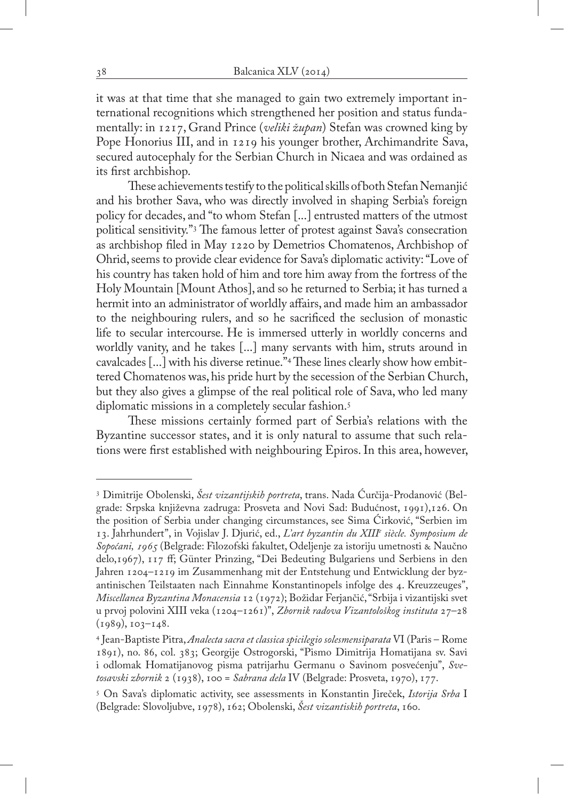it was at that time that she managed to gain two extremely important international recognitions which strengthened her position and status fundamentally: in 1217, Grand Prince (*veliki župan*) Stefan was crowned king by Pope Honorius III, and in 1219 his younger brother, Archimandrite Sava, secured autocephaly for the Serbian Church in Nicaea and was ordained as its first archbishop.

These achievements testify to the political skills of both Stefan Nemanjić and his brother Sava, who was directly involved in shaping Serbia's foreign policy for decades, and "to whom Stefan [...] entrusted matters of the utmost political sensitivity."3 The famous letter of protest against Sava's consecration as archbishop filed in May 1220 by Demetrios Chomatenos, Archbishop of Ohrid, seems to provide clear evidence for Sava's diplomatic activity: "Love of his country has taken hold of him and tore him away from the fortress of the Holy Mountain [Mount Athos], and so he returned to Serbia; it has turned a hermit into an administrator of worldly affairs, and made him an ambassador to the neighbouring rulers, and so he sacrificed the seclusion of monastic life to secular intercourse. He is immersed utterly in worldly concerns and worldly vanity, and he takes [...] many servants with him, struts around in cavalcades [...] with his diverse retinue."4 These lines clearly show how embittered Chomatenos was, his pride hurt by the secession of the Serbian Church, but they also gives a glimpse of the real political role of Sava, who led many diplomatic missions in a completely secular fashion.<sup>5</sup>

These missions certainly formed part of Serbia's relations with the Byzantine successor states, and it is only natural to assume that such relations were first established with neighbouring Epiros. In this area, however,

<sup>3</sup> Dimitrije Obolenski, *Šest vizantijskih portreta*, trans. Nada Ćurčija-Prodanović (Belgrade: Srpska književna zadruga: Prosveta and Novi Sad: Budućnost, 1991),126. On the position of Serbia under changing circumstances, see Sima Ćirković, "Serbien im 13. Jahrhundert", in Vojislav J. Djurić, ed., *L'art byzantin du XIIIe siècle. Symposium de Sopoćani, 1965* (Belgrade: Filozofski fakultet, Odeljenje za istoriju umetnosti & Naučno delo,1967), 117 ff; Günter Prinzing, "Dei Bedeuting Bulgariens und Serbiens in den Jahren 1204–1219 im Zusammenhang mit der Entstehung und Entwicklung der byzantinischen Teilstaaten nach Einnahme Konstantinopels infolge des 4. Kreuzzeuges", *Miscellanea Byzantina Monacensia* 12 (1972); Božidar Ferjančić, "Srbija i vizantijski svet u prvoj polovini XIII veka (1204–1261)", *Zbornik radova Vizantološkog instituta* 27–28  $(1989), 103-148.$ 

<sup>4</sup> Jean-Baptiste Pitra, *Analecta sacra et classica spicilegio solesmensiparata* VI (Paris – Rome 1891), no. 86, col. 383; Georgije Ostrogorski, "Pismo Dimitrija Homatijana sv. Savi i odlomak Homatijanovog pisma patrijarhu Germanu o Savinom posvećenju", *Svetosavski zbornik* 2 (1938), 100 = *Sabrana dela* IV (Belgrade: Prosveta, 1970), 177.

<sup>5</sup> On Sava's diplomatic activity, see assessments in Konstantin Jireček, *Istorija Srba* I (Belgrade: Slovoljubve, 1978), 162; Obolenski, *Šest vizantiskih portreta*, 160.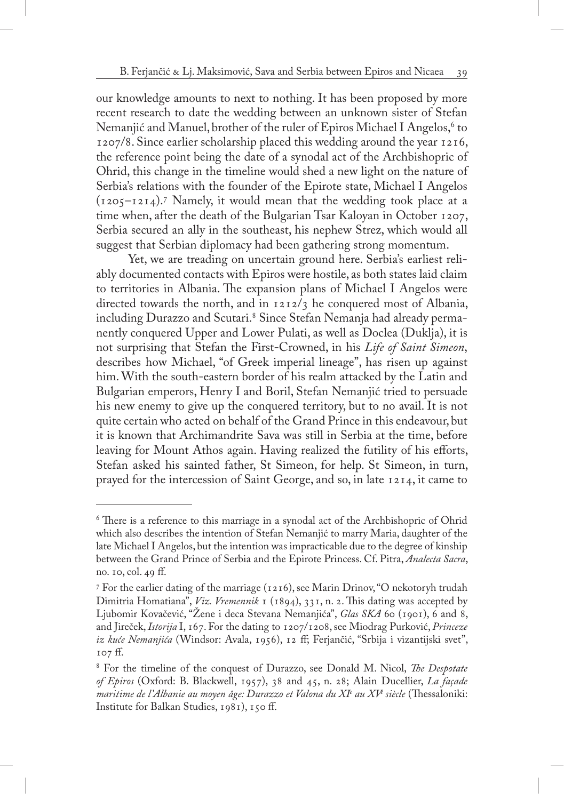our knowledge amounts to next to nothing. It has been proposed by more recent research to date the wedding between an unknown sister of Stefan Nemanjić and Manuel, brother of the ruler of Epiros Michael I Angelos,<sup>6</sup> to 1207/8. Since earlier scholarship placed this wedding around the year 1216, the reference point being the date of a synodal act of the Archbishopric of Ohrid, this change in the timeline would shed a new light on the nature of Serbia's relations with the founder of the Epirote state, Michael I Angelos (1205–1214).7 Namely, it would mean that the wedding took place at a time when, after the death of the Bulgarian Tsar Kaloyan in October 1207, Serbia secured an ally in the southeast, his nephew Strez, which would all suggest that Serbian diplomacy had been gathering strong momentum.

Yet, we are treading on uncertain ground here. Serbia's earliest reliably documented contacts with Epiros were hostile, as both states laid claim to territories in Albania. The expansion plans of Michael I Angelos were directed towards the north, and in  $1212/3$  he conquered most of Albania, including Durazzo and Scutari.<sup>8</sup> Since Stefan Nemanja had already permanently conquered Upper and Lower Pulati, as well as Doclea (Duklja), it is not surprising that Stefan the First-Crowned, in his *Life of Saint Simeon*, describes how Michael, "of Greek imperial lineage", has risen up against him. With the south-eastern border of his realm attacked by the Latin and Bulgarian emperors, Henry I and Boril, Stefan Nemanjić tried to persuade his new enemy to give up the conquered territory, but to no avail. It is not quite certain who acted on behalf of the Grand Prince in this endeavour, but it is known that Archimandrite Sava was still in Serbia at the time, before leaving for Mount Athos again. Having realized the futility of his efforts, Stefan asked his sainted father, St Simeon, for help. St Simeon, in turn, prayed for the intercession of Saint George, and so, in late 1214, it came to

<sup>6</sup> There is a reference to this marriage in a synodal act of the Archbishopric of Ohrid which also describes the intention of Stefan Nemanjić to marry Maria, daughter of the late Michael I Angelos, but the intention was impracticable due to the degree of kinship between the Grand Prince of Serbia and the Epirote Princess. Cf. Pitra, *Analecta Sacra*, no. 10, col. 49 ff.

<sup>7</sup> For the earlier dating of the marriage (1216), see Marin Drinov, "O nekotoryh trudah Dimitria Homatiana", *Viz. Vremennik* 1 (1894), 331, n. 2. This dating was accepted by Ljubomir Kovačević, "Žene i deca Stevana Nemanjića", *Glas SKA* 60 (1901), 6 and 8, and Jireček, *Istorija* I, 167. For the dating to 1207/1208, see Miodrag Purković, *Princeze iz kuće Nemanjića* (Windsor: Avala, 1956), 12 ff; Ferjančić, "Srbija i vizantijski svet", 107 ff.

<sup>8</sup> For the timeline of the conquest of Durazzo, see Donald M. Nicol, *The Despotate of Epiros* (Oxford: B. Blackwell, 1957), 38 and 45, n. 28; Alain Ducellier, *La façade maritime de l'Albanie au moyen âge: Durazzo et Valona du XIe au XVe siècle* (Thessaloniki: Institute for Balkan Studies, 1981), 150 ff.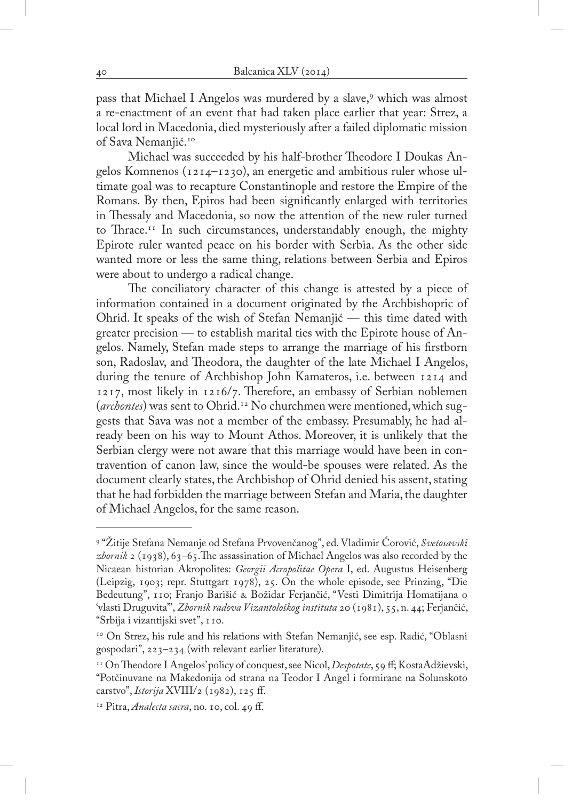pass that Michael I Angelos was murdered by a slave,<sup>9</sup> which was almost a re-enactment of an event that had taken place earlier that year: Strez, a local lord in Macedonia, died mysteriously after a failed diplomatic mission of Sava Nemanjić.10

Michael was succeeded by his half-brother Theodore I Doukas Angelos Komnenos (1214–1230), an energetic and ambitious ruler whose ultimate goal was to recapture Constantinople and restore the Empire of the Romans. By then, Epiros had been significantly enlarged with territories in Thessaly and Macedonia, so now the attention of the new ruler turned to Thrace.<sup>11</sup> In such circumstances, understandably enough, the mighty Epirote ruler wanted peace on his border with Serbia. As the other side wanted more or less the same thing, relations between Serbia and Epiros were about to undergo a radical change.

The conciliatory character of this change is attested by a piece of information contained in a document originated by the Archbishopric of Ohrid. It speaks of the wish of Stefan Nemanjić — this time dated with greater precision — to establish marital ties with the Epirote house of Angelos. Namely, Stefan made steps to arrange the marriage of his firstborn son, Radoslav, and Theodora, the daughter of the late Michael I Angelos, during the tenure of Archbishop John Kamateros, i.e. between 1214 and 1217, most likely in 1216/7. Therefore, an embassy of Serbian noblemen (*archontes*) was sent to Ohrid.<sup>12</sup> No churchmen were mentioned, which suggests that Sava was not a member of the embassy. Presumably, he had already been on his way to Mount Athos. Moreover, it is unlikely that the Serbian clergy were not aware that this marriage would have been in contravention of canon law, since the would-be spouses were related. As the document clearly states, the Archbishop of Ohrid denied his assent, stating that he had forbidden the marriage between Stefan and Maria, the daughter of Michael Angelos, for the same reason.

<sup>9</sup> "Žitije Stefana Nemanje od Stefana Prvovenčanog", ed. Vladimir Ćorović, *Svetosavski zbornik* 2 (1938), 63–65.The assassination of Michael Angelos was also recorded by the Nicaean historian Akropolites: *Georgii Acropolitae Opera* I, ed. Augustus Heisenberg (Leipzig, 1903; repr. Stuttgart 1978), 25. On the whole episode, see Prinzing, "Die Bedeutung", 110; Franjo Barišić & Božidar Ferjančić, "Vesti Dimitrija Homatijana o 'vlasti Druguvita'", *Zbornik radova Vizantološkog instituta* 20 (1981), 55, n. 44; Ferjančić, "Srbija i vizantijski svet", 110.

<sup>&</sup>lt;sup>10</sup> On Strez, his rule and his relations with Stefan Nemanjić, see esp. Radić, "Oblasni gospodari", 223–234 (with relevant earlier literature).

<sup>11</sup> On Theodore I Angelos' policy of conquest, see Nicol, *Despotate*, 59 ff; KostaAdžievski, "Potčinuvane na Makedonija od strana na Teodor I Angel i formirane na Solunskoto carstvo", *Istorija* XVIII/2 (1982), 125 ff.

<sup>12</sup> Pitra, *Analecta sacra*, no. 10, col. 49 ff.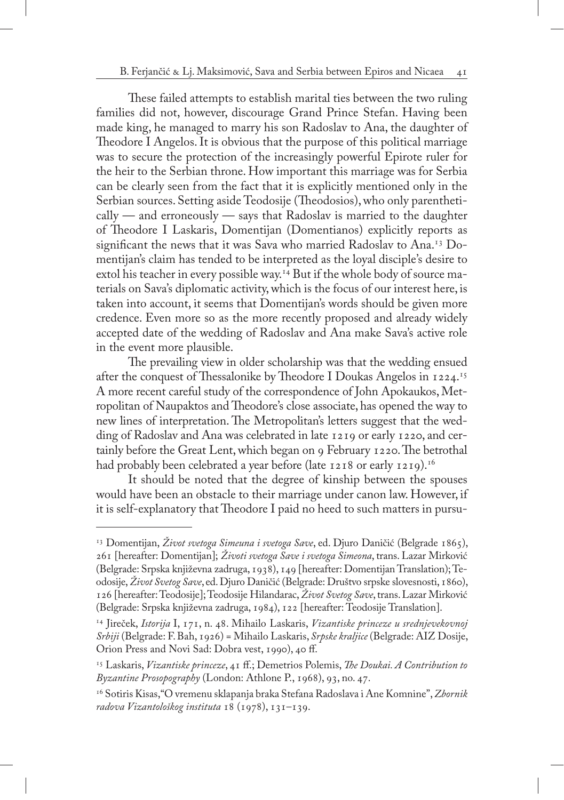These failed attempts to establish marital ties between the two ruling families did not, however, discourage Grand Prince Stefan. Having been made king, he managed to marry his son Radoslav to Ana, the daughter of Theodore I Angelos. It is obvious that the purpose of this political marriage was to secure the protection of the increasingly powerful Epirote ruler for the heir to the Serbian throne. How important this marriage was for Serbia can be clearly seen from the fact that it is explicitly mentioned only in the Serbian sources. Setting aside Teodosije (Theodosios), who only parentheti- $\text{cally}$  — and erroneously — says that Radoslav is married to the daughter of Theodore I Laskaris, Domentijan (Domentianos) explicitly reports as significant the news that it was Sava who married Radoslav to Ana.<sup>13</sup> Domentijan's claim has tended to be interpreted as the loyal disciple's desire to extol his teacher in every possible way.<sup>14</sup> But if the whole body of source materials on Sava's diplomatic activity, which is the focus of our interest here, is taken into account, it seems that Domentijan's words should be given more credence. Even more so as the more recently proposed and already widely accepted date of the wedding of Radoslav and Ana make Sava's active role in the event more plausible.

The prevailing view in older scholarship was that the wedding ensued after the conquest of Thessalonike by Theodore I Doukas Angelos in 1224.15 A more recent careful study of the correspondence of John Apokaukos, Metropolitan of Naupaktos and Theodore's close associate, has opened the way to new lines of interpretation. The Metropolitan's letters suggest that the wedding of Radoslav and Ana was celebrated in late 1219 or early 1220, and certainly before the Great Lent, which began on 9 February 1220. The betrothal had probably been celebrated a year before (late 1218 or early 1219).<sup>16</sup>

It should be noted that the degree of kinship between the spouses would have been an obstacle to their marriage under canon law. However, if it is self-explanatory that Theodore I paid no heed to such matters in pursu-

<sup>&</sup>lt;sup>13</sup> Domentijan, *Život svetoga Simeuna i svetoga Save*, ed. Djuro Daničić (Belgrade 1865), 261 [hereafter: Domentijan]; *Životi svetoga Save i svetoga Simeona*, trans. Lazar Mirković (Belgrade: Srpska književna zadruga, 1938), 149 [hereafter: Domentijan Translation); Teodosije, *Život Svetog Save*, ed. Djuro Daničić (Belgrade: Društvo srpske slovesnosti, 1860), 126 [hereafter: Teodosije]; Teodosije Hilandarac, *Život Svetog Save*, trans. Lazar Mirković (Belgrade: Srpska književna zadruga, 1984), 122 [hereafter: Teodosije Translation].

<sup>14</sup> Jireček, *Istorija* I, 171, n. 48. Mihailo Laskaris, *Vizantiske princeze u srednjevekovnoj Srbiji* (Belgrade: F. Bah, 1926) = Mihailo Laskaris, *Srpske kraljice* (Belgrade: AIZ Dosije, Orion Press and Novi Sad: Dobra vest, 1990), 40 ff.

<sup>15</sup> Laskaris, *Vizantiske princeze*, 41 ff.; Demetrios Polemis, *The Doukai. A Contribution to Byzantine Prosopography* (London: Athlone P., 1968), 93, no. 47.

<sup>16</sup> Sotiris Kisas,"O vremenu sklapanja braka Stefana Radoslava i Ane Komnine", *Zbornik radova Vizantološkog instituta* 18 (1978), 131–139.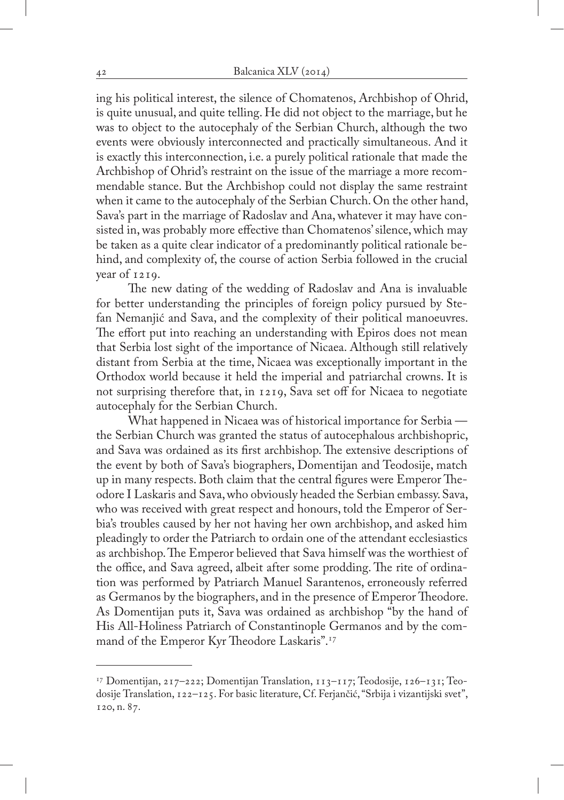ing his political interest, the silence of Chomatenos, Archbishop of Ohrid, is quite unusual, and quite telling. He did not object to the marriage, but he was to object to the autocephaly of the Serbian Church, although the two events were obviously interconnected and practically simultaneous. And it is exactly this interconnection, i.e. a purely political rationale that made the Archbishop of Ohrid's restraint on the issue of the marriage a more recommendable stance. But the Archbishop could not display the same restraint when it came to the autocephaly of the Serbian Church. On the other hand, Sava's part in the marriage of Radoslav and Ana, whatever it may have consisted in, was probably more effective than Chomatenos' silence, which may be taken as a quite clear indicator of a predominantly political rationale behind, and complexity of, the course of action Serbia followed in the crucial year of 1219.

The new dating of the wedding of Radoslav and Ana is invaluable for better understanding the principles of foreign policy pursued by Stefan Nemanjić and Sava, and the complexity of their political manoeuvres. The effort put into reaching an understanding with Epiros does not mean that Serbia lost sight of the importance of Nicaea. Although still relatively distant from Serbia at the time, Nicaea was exceptionally important in the Orthodox world because it held the imperial and patriarchal crowns. It is not surprising therefore that, in 1219, Sava set off for Nicaea to negotiate autocephaly for the Serbian Church.

What happened in Nicaea was of historical importance for Serbia the Serbian Church was granted the status of autocephalous archbishopric, and Sava was ordained as its first archbishop. The extensive descriptions of the event by both of Sava's biographers, Domentijan and Teodosije, match up in many respects. Both claim that the central figures were Emperor Theodore I Laskaris and Sava, who obviously headed the Serbian embassy. Sava, who was received with great respect and honours, told the Emperor of Serbia's troubles caused by her not having her own archbishop, and asked him pleadingly to order the Patriarch to ordain one of the attendant ecclesiastics as archbishop. The Emperor believed that Sava himself was the worthiest of the office, and Sava agreed, albeit after some prodding. The rite of ordination was performed by Patriarch Manuel Sarantenos, erroneously referred as Germanos by the biographers, and in the presence of Emperor Theodore. As Domentijan puts it, Sava was ordained as archbishop "by the hand of His All-Holiness Patriarch of Constantinople Germanos and by the command of the Emperor Kyr Theodore Laskaris".17

 $17$  Domentijan, 217–222; Domentijan Translation, 113–117; Teodosije, 126–131; Teodosije Translation, 122–125. For basic literature, Cf. Ferjančić, "Srbija i vizantijski svet", 120, n. 87.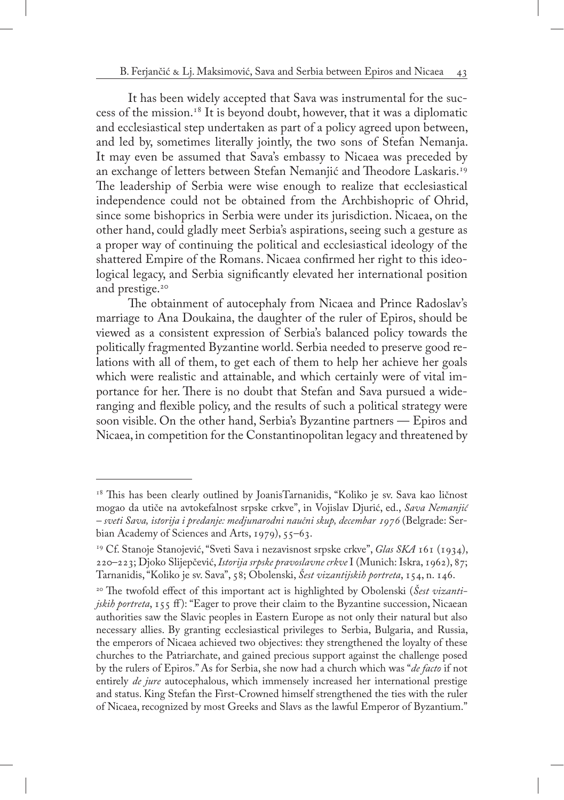It has been widely accepted that Sava was instrumental for the success of the mission.<sup>18</sup> It is beyond doubt, however, that it was a diplomatic and ecclesiastical step undertaken as part of a policy agreed upon between, and led by, sometimes literally jointly, the two sons of Stefan Nemanja. It may even be assumed that Sava's embassy to Nicaea was preceded by an exchange of letters between Stefan Nemanjić and Theodore Laskaris.<sup>19</sup> The leadership of Serbia were wise enough to realize that ecclesiastical independence could not be obtained from the Archbishopric of Ohrid, since some bishoprics in Serbia were under its jurisdiction. Nicaea, on the other hand, could gladly meet Serbia's aspirations, seeing such a gesture as a proper way of continuing the political and ecclesiastical ideology of the shattered Empire of the Romans. Nicaea confirmed her right to this ideological legacy, and Serbia significantly elevated her international position and prestige.<sup>20</sup>

The obtainment of autocephaly from Nicaea and Prince Radoslav's marriage to Ana Doukaina, the daughter of the ruler of Epiros, should be viewed as a consistent expression of Serbia's balanced policy towards the politically fragmented Byzantine world. Serbia needed to preserve good relations with all of them, to get each of them to help her achieve her goals which were realistic and attainable, and which certainly were of vital importance for her. There is no doubt that Stefan and Sava pursued a wideranging and flexible policy, and the results of such a political strategy were soon visible. On the other hand, Serbia's Byzantine partners — Epiros and Nicaea, in competition for the Constantinopolitan legacy and threatened by

<sup>&</sup>lt;sup>18</sup> This has been clearly outlined by JoanisTarnanidis, "Koliko je sv. Sava kao ličnost mogao da utiče na avtokefalnost srpske crkve", in Vojislav Djurić, ed., *Sava Nemanjić – sveti Sava, istorija i predanje: medjunarodni naučni skup, decembar 1976* (Belgrade: Serbian Academy of Sciences and Arts, 1979), 55–63.

<sup>19</sup> Cf. Stanoje Stanojević, "Sveti Sava i nezavisnost srpske crkve", *Glas SKA* 161 (1934), 220–223; Djoko Slijepčević, *Istorija srpske pravoslavne crkve* I (Munich: Iskra, 1962), 87; Tarnanidis, "Koliko je sv. Sava", 58; Obolenski, *Šest vizantijskih portreta*, 154, n. 146.

<sup>&</sup>lt;sup>20</sup> The twofold effect of this important act is highlighted by Obolenski (Sest vizanti*jskih portreta*, 155 ff): "Eager to prove their claim to the Byzantine succession, Nicaean authorities saw the Slavic peoples in Eastern Europe as not only their natural but also necessary allies. By granting ecclesiastical privileges to Serbia, Bulgaria, and Russia, the emperors of Nicaea achieved two objectives: they strengthened the loyalty of these churches to the Patriarchate, and gained precious support against the challenge posed by the rulers of Epiros." As for Serbia, she now had a church which was "*de facto* if not entirely *de jure* autocephalous, which immensely increased her international prestige and status. King Stefan the First-Crowned himself strengthened the ties with the ruler of Nicaea, recognized by most Greeks and Slavs as the lawful Emperor of Byzantium."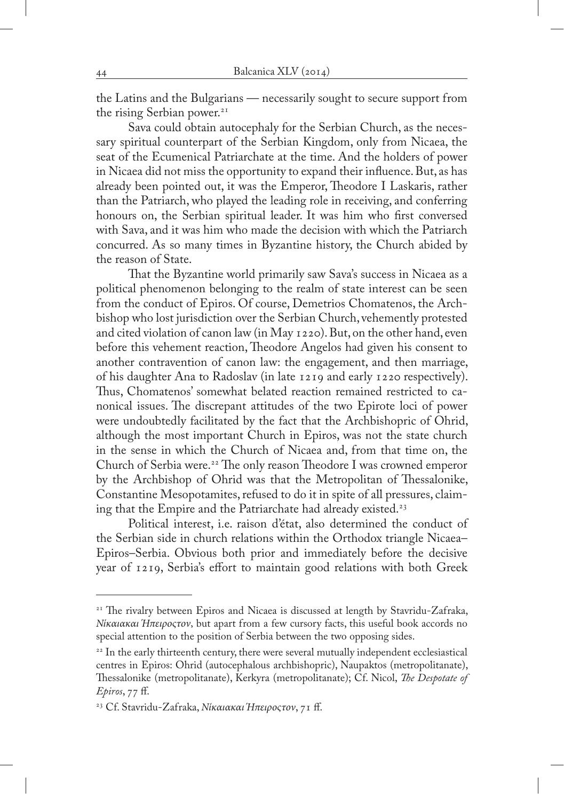the Latins and the Bulgarians — necessarily sought to secure support from the rising Serbian power.<sup>21</sup>

Sava could obtain autocephaly for the Serbian Church, as the necessary spiritual counterpart of the Serbian Kingdom, only from Nicaea, the seat of the Ecumenical Patriarchate at the time. And the holders of power in Nicaea did not miss the opportunity to expand their influence. But, as has already been pointed out, it was the Emperor, Theodore I Laskaris, rather than the Patriarch, who played the leading role in receiving, and conferring honours on, the Serbian spiritual leader. It was him who first conversed with Sava, and it was him who made the decision with which the Patriarch concurred. As so many times in Byzantine history, the Church abided by the reason of State.

That the Byzantine world primarily saw Sava's success in Nicaea as a political phenomenon belonging to the realm of state interest can be seen from the conduct of Epiros. Of course, Demetrios Chomatenos, the Archbishop who lost jurisdiction over the Serbian Church, vehemently protested and cited violation of canon law (in May 1220). But, on the other hand, even before this vehement reaction, Theodore Angelos had given his consent to another contravention of canon law: the engagement, and then marriage, of his daughter Ana to Radoslav (in late 1219 and early 1220 respectively). Thus, Chomatenos' somewhat belated reaction remained restricted to canonical issues. The discrepant attitudes of the two Epirote loci of power were undoubtedly facilitated by the fact that the Archbishopric of Ohrid, although the most important Church in Epiros, was not the state church in the sense in which the Church of Nicaea and, from that time on, the Church of Serbia were.22 The only reason Theodore I was crowned emperor by the Archbishop of Ohrid was that the Metropolitan of Thessalonike, Constantine Mesopotamites, refused to do it in spite of all pressures, claiming that the Empire and the Patriarchate had already existed.<sup>23</sup>

Political interest, i.e. raison d'état, also determined the conduct of the Serbian side in church relations within the Orthodox triangle Nicaea– Epiros–Serbia. Obvious both prior and immediately before the decisive year of 1219, Serbia's effort to maintain good relations with both Greek

<sup>&</sup>lt;sup>21</sup> The rivalry between Epiros and Nicaea is discussed at length by Stavridu-Zafraka, *Νίκαιακαι Ήπειροςτον*, but apart from a few cursory facts, this useful book accords no special attention to the position of Serbia between the two opposing sides.

<sup>&</sup>lt;sup>22</sup> In the early thirteenth century, there were several mutually independent ecclesiastical centres in Epiros: Ohrid (autocephalous archbishopric), Naupaktos (metropolitanate), Thessalonike (metropolitanate), Kerkyra (metropolitanate); Cf. Nicol, *The Despotate of Epiros*, 77 ff.

<sup>23</sup> Cf. Stavridu-Zafraka, *Νίκαιακαι Ήπειροςτον*, 71 ff.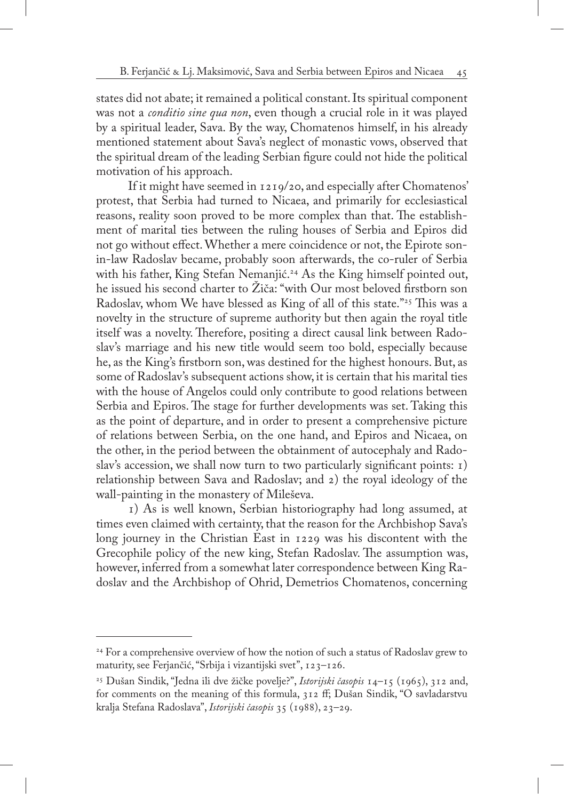states did not abate; it remained a political constant. Its spiritual component was not a *conditio sine qua non*, even though a crucial role in it was played by a spiritual leader, Sava. By the way, Chomatenos himself, in his already mentioned statement about Sava's neglect of monastic vows, observed that the spiritual dream of the leading Serbian figure could not hide the political motivation of his approach.

If it might have seemed in 1219/20, and especially after Chomatenos' protest, that Serbia had turned to Nicaea, and primarily for ecclesiastical reasons, reality soon proved to be more complex than that. The establishment of marital ties between the ruling houses of Serbia and Epiros did not go without effect. Whether a mere coincidence or not, the Epirote sonin-law Radoslav became, probably soon afterwards, the co-ruler of Serbia with his father, King Stefan Nemanjić.<sup>24</sup> As the King himself pointed out, he issued his second charter to Žiča: "with Our most beloved firstborn son Radoslav, whom We have blessed as King of all of this state."<sup>25</sup> This was a novelty in the structure of supreme authority but then again the royal title itself was a novelty. Therefore, positing a direct causal link between Radoslav's marriage and his new title would seem too bold, especially because he, as the King's firstborn son, was destined for the highest honours. But, as some of Radoslav's subsequent actions show, it is certain that his marital ties with the house of Angelos could only contribute to good relations between Serbia and Epiros. The stage for further developments was set. Taking this as the point of departure, and in order to present a comprehensive picture of relations between Serbia, on the one hand, and Epiros and Nicaea, on the other, in the period between the obtainment of autocephaly and Radoslav's accession, we shall now turn to two particularly significant points: 1) relationship between Sava and Radoslav; and 2) the royal ideology of the wall-painting in the monastery of Mileševa.

1) As is well known, Serbian historiography had long assumed, at times even claimed with certainty, that the reason for the Archbishop Sava's long journey in the Christian East in 1229 was his discontent with the Grecophile policy of the new king, Stefan Radoslav. The assumption was, however, inferred from a somewhat later correspondence between King Radoslav and the Archbishop of Ohrid, Demetrios Chomatenos, concerning

<sup>&</sup>lt;sup>24</sup> For a comprehensive overview of how the notion of such a status of Radoslav grew to maturity, see Ferjančić, "Srbija i vizantijski svet", 123–126.

<sup>25</sup> Dušan Sindik, "Jedna ili dve žičke povelje?", *Istorijski časopis* 14–15 (1965), 312 and, for comments on the meaning of this formula, 312 ff; Dušan Sindik, "O savladarstvu kralja Stefana Radoslava", *Istorijski časopis* 35 (1988), 23–29.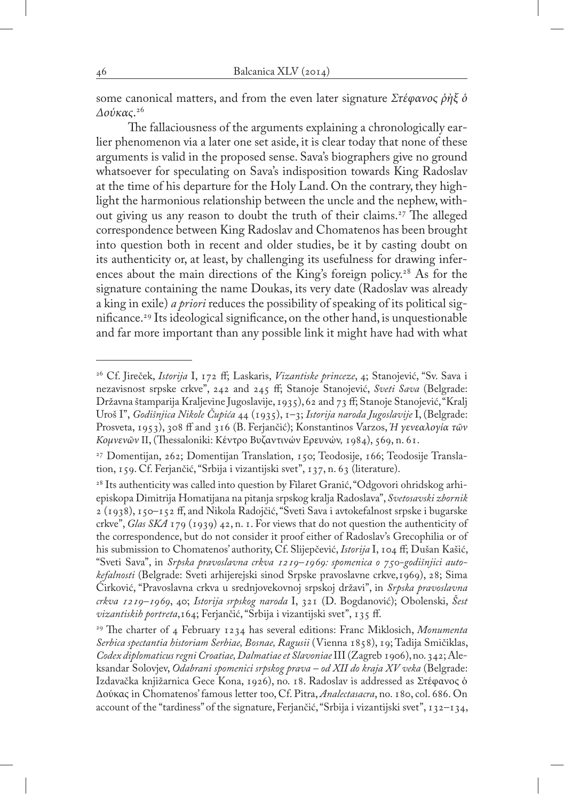some canonical matters, and from the even later signature *Στέφανος ῥὴξ ὁ Δούκας*. 26

The fallaciousness of the arguments explaining a chronologically earlier phenomenon via a later one set aside, it is clear today that none of these arguments is valid in the proposed sense. Sava's biographers give no ground whatsoever for speculating on Sava's indisposition towards King Radoslav at the time of his departure for the Holy Land. On the contrary, they highlight the harmonious relationship between the uncle and the nephew, without giving us any reason to doubt the truth of their claims.<sup>27</sup> The alleged correspondence between King Radoslav and Chomatenos has been brought into question both in recent and older studies, be it by casting doubt on its authenticity or, at least, by challenging its usefulness for drawing inferences about the main directions of the King's foreign policy.<sup>28</sup> As for the signature containing the name Doukas, its very date (Radoslav was already a king in exile) *a priori* reduces the possibility of speaking of its political significance.29 Its ideological significance, on the other hand, is unquestionable and far more important than any possible link it might have had with what

<sup>26</sup> Cf. Jireček, *Istorija* I, 172 ff; Laskaris, *Vizantiske princeze*, 4; Stanojević, "Sv. Sava i nezavisnost srpske crkve", 242 and 245 ff; Stanoje Stanojević, *Sveti Sava* (Belgrade: Državna štamparija Kraljevine Jugoslavije, 1935), 62 and 73 ff; Stanoje Stanojević, "Kralj Uroš I", *Godišnjica Nikole Čupića* 44 (1935), 1–3; *Istorija naroda Jugoslavije* I, (Belgrade: Prosveta, 1953), 308 ff and 316 (B. Ferjančić); Konstantinos Varzos, *Ή γενεαλογία τῶν Κομνενῶν* II, (Thessaloniki: Κέντρο Βυζαντινών Ερευνών, 1984), 569, n. 61.

<sup>27</sup> Domentijan, 262; Domentijan Translation, 150; Teodosije, 166; Teodosije Translation, 159. Cf. Ferjančić, "Srbija i vizantijski svet", 137, n. 63 (literature).

<sup>&</sup>lt;sup>28</sup> Its authenticity was called into question by Filaret Granić, "Odgovori ohridskog arhiepiskopa Dimitrija Homatijana na pitanja srpskog kralja Radoslava", *Svetosavski zbornik* 2 (1938), 150–152 ff, and Nikola Radojčić, "Sveti Sava i avtokefalnost srpske i bugarske crkve", *Glas SKA* 179 (1939) 42, n. 1. For views that do not question the authenticity of the correspondence, but do not consider it proof either of Radoslav's Grecophilia or of his submission to Chomatenos' authority, Cf. Slijepčević, *Istorija* I, 104 ff; Dušan Kašić, "Sveti Sava", in *Srpska pravoslavna crkva 1219–1969: spomenica o 750-godišnjici autokefalnosti* (Belgrade: Sveti arhijerejski sinod Srpske pravoslavne crkve,1969), 28; Sima Ćirković, "Pravoslavna crkva u srednjovekovnoj srpskoj državi", in *Srpska pravoslavna crkva 1219–1969*, 40; *Istorija srpskog naroda* I, 321 (D. Bogdanović); Obolenski, *Šest vizantiskih portreta*,164; Ferjančić, "Srbija i vizantijski svet", 135 ff.

<sup>29</sup> The charter of 4 February 1234 has several editions: Franc Miklosich, *Monumenta Serbica spectantia historiam Serbiae, Bosnae, Ragusii* (Vienna 1858), 19; Tadija Smičiklas, *Codex diplomaticus regni Croatiae, Dalmatiae et Slavoniae* III (Zagreb 1906), no. 342; Aleksandar Solovjev, *Odabrani spomenici srpskog prava – od XII do kraja XV veka* (Belgrade: Izdavačka knjižarnica Gece Kona, 1926), no. 18. Radoslav is addressed as Στέφανος ὁ Δούκας in Chomatenos' famous letter too, Cf. Pitra, *Analectasacra*, no. 180, col. 686. On account of the "tardiness" of the signature, Ferjančić, "Srbija i vizantijski svet", 132–134,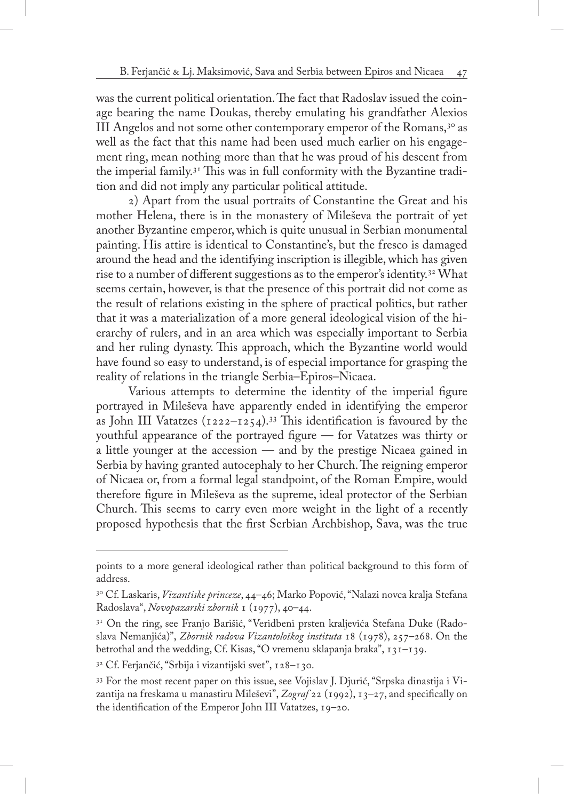was the current political orientation. The fact that Radoslav issued the coinage bearing the name Doukas, thereby emulating his grandfather Alexios III Angelos and not some other contemporary emperor of the Romans,<sup>30</sup> as well as the fact that this name had been used much earlier on his engagement ring, mean nothing more than that he was proud of his descent from the imperial family.31 This was in full conformity with the Byzantine tradition and did not imply any particular political attitude.

2) Apart from the usual portraits of Constantine the Great and his mother Helena, there is in the monastery of Mileševa the portrait of yet another Byzantine emperor, which is quite unusual in Serbian monumental painting. His attire is identical to Constantine's, but the fresco is damaged around the head and the identifying inscription is illegible, which has given rise to a number of different suggestions as to the emperor's identity.32 What seems certain, however, is that the presence of this portrait did not come as the result of relations existing in the sphere of practical politics, but rather that it was a materialization of a more general ideological vision of the hierarchy of rulers, and in an area which was especially important to Serbia and her ruling dynasty. This approach, which the Byzantine world would have found so easy to understand, is of especial importance for grasping the reality of relations in the triangle Serbia–Epiros–Nicaea.

Various attempts to determine the identity of the imperial figure portrayed in Mileševa have apparently ended in identifying the emperor as John III Vatatzes ( $1222-1254$ ).<sup>33</sup> This identification is favoured by the youthful appearance of the portrayed figure — for Vatatzes was thirty or a little younger at the accession — and by the prestige Nicaea gained in Serbia by having granted autocephaly to her Church. The reigning emperor of Nicaea or, from a formal legal standpoint, of the Roman Empire, would therefore figure in Mileševa as the supreme, ideal protector of the Serbian Church. This seems to carry even more weight in the light of a recently proposed hypothesis that the first Serbian Archbishop, Sava, was the true

points to a more general ideological rather than political background to this form of address.

<sup>30</sup> Cf. Laskaris, *Vizantiske princeze*, 44–46; Marko Popović, "Nalazi novca kralja Stefana Radoslava", *Novopazarski zbornik* 1 (1977), 40–44.

<sup>&</sup>lt;sup>31</sup> On the ring, see Franjo Barišić, "Veridbeni prsten kraljevića Stefana Duke (Radoslava Nemanjića)", *Zbornik radova Vizantološkog instituta* 18 (1978), 257–268. On the betrothal and the wedding, Cf. Kisas, "O vremenu sklapanja braka", 131–139.

<sup>32</sup> Cf. Ferjančić, "Srbija i vizantijski svet", 128–130.

<sup>33</sup> For the most recent paper on this issue, see Vojislav J. Djurić, "Srpska dinastija i Vizantija na freskama u manastiru Mileševi", *Zograf* 22 (1992), 13–27, and specifically on the identification of the Emperor John III Vatatzes, 19–20.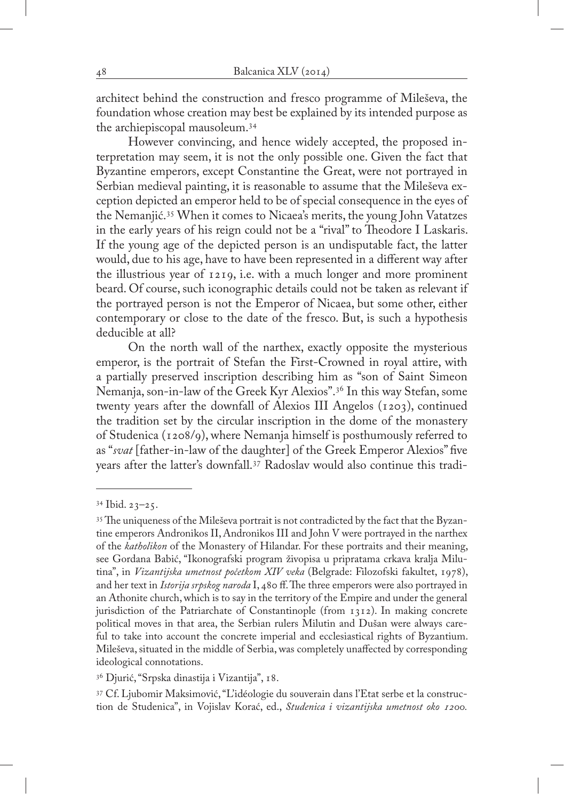architect behind the construction and fresco programme of Mileševa, the foundation whose creation may best be explained by its intended purpose as the archiepiscopal mausoleum.34

However convincing, and hence widely accepted, the proposed interpretation may seem, it is not the only possible one. Given the fact that Byzantine emperors, except Constantine the Great, were not portrayed in Serbian medieval painting, it is reasonable to assume that the Mileševa exception depicted an emperor held to be of special consequence in the eyes of the Nemanjić.35 When it comes to Nicaea's merits, the young John Vatatzes in the early years of his reign could not be a "rival" to Theodore I Laskaris. If the young age of the depicted person is an undisputable fact, the latter would, due to his age, have to have been represented in a different way after the illustrious year of 1219, i.e. with a much longer and more prominent beard. Of course, such iconographic details could not be taken as relevant if the portrayed person is not the Emperor of Nicaea, but some other, either contemporary or close to the date of the fresco. But, is such a hypothesis deducible at all?

On the north wall of the narthex, exactly opposite the mysterious emperor, is the portrait of Stefan the First-Crowned in royal attire, with a partially preserved inscription describing him as "son of Saint Simeon Nemanja, son-in-law of the Greek Kyr Alexios".36 In this way Stefan, some twenty years after the downfall of Alexios III Angelos (1203), continued the tradition set by the circular inscription in the dome of the monastery of Studenica (1208/9), where Nemanja himself is posthumously referred to as "*svat* [father-in-law of the daughter] of the Greek Emperor Alexios" five years after the latter's downfall.37 Radoslav would also continue this tradi-

 $34$  Ibid.  $23-25$ .

<sup>35</sup> The uniqueness of the Mileševa portrait is not contradicted by the fact that the Byzantine emperors Andronikos II, Andronikos III and John V were portrayed in the narthex of the *katholikon* of the Monastery of Hilandar. For these portraits and their meaning, see Gordana Babić, "Ikonografski program živopisa u pripratama crkava kralja Milutina", in *Vizantijska umetnost početkom XIV veka* (Belgrade: Filozofski fakultet, 1978), and her text in *Istorija srpskog naroda* I, 480 ff. The three emperors were also portrayed in an Athonite church, which is to say in the territory of the Empire and under the general jurisdiction of the Patriarchate of Constantinople (from 1312). In making concrete political moves in that area, the Serbian rulers Milutin and Dušan were always careful to take into account the concrete imperial and ecclesiastical rights of Byzantium. Mileševa, situated in the middle of Serbia, was completely unaffected by corresponding ideological connotations.

<sup>36</sup> Djurić, "Srpska dinastija i Vizantija", 18.

<sup>37</sup> Cf. Ljubomir Maksimović, "L'idéologie du souverain dans l'Etat serbe et la construction de Studenica", in Vojislav Korać, ed., *Studenica i vizantijska umetnost oko 1200.*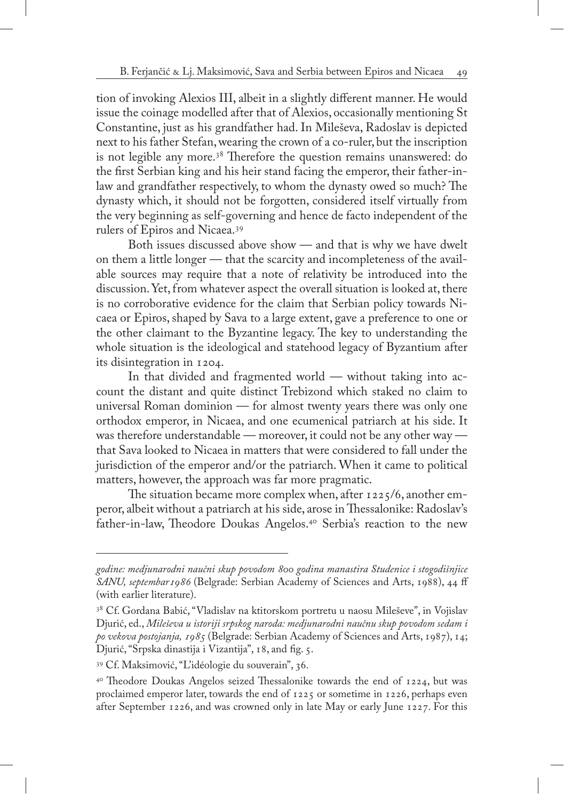tion of invoking Alexios III, albeit in a slightly different manner. He would issue the coinage modelled after that of Alexios, occasionally mentioning St Constantine, just as his grandfather had. In Mileševa, Radoslav is depicted next to his father Stefan, wearing the crown of a co-ruler, but the inscription is not legible any more.38 Therefore the question remains unanswered: do the first Serbian king and his heir stand facing the emperor, their father-inlaw and grandfather respectively, to whom the dynasty owed so much? The dynasty which, it should not be forgotten, considered itself virtually from the very beginning as self-governing and hence de facto independent of the rulers of Epiros and Nicaea.39

Both issues discussed above show — and that is why we have dwelt on them a little longer — that the scarcity and incompleteness of the available sources may require that a note of relativity be introduced into the discussion. Yet, from whatever aspect the overall situation is looked at, there is no corroborative evidence for the claim that Serbian policy towards Nicaea or Epiros, shaped by Sava to a large extent, gave a preference to one or the other claimant to the Byzantine legacy. The key to understanding the whole situation is the ideological and statehood legacy of Byzantium after its disintegration in 1204.

In that divided and fragmented world — without taking into account the distant and quite distinct Trebizond which staked no claim to universal Roman dominion — for almost twenty years there was only one orthodox emperor, in Nicaea, and one ecumenical patriarch at his side. It was therefore understandable — moreover, it could not be any other way that Sava looked to Nicaea in matters that were considered to fall under the jurisdiction of the emperor and/or the patriarch. When it came to political matters, however, the approach was far more pragmatic.

The situation became more complex when, after 1225/6, another emperor, albeit without a patriarch at his side, arose in Thessalonike: Radoslav's father-in-law, Theodore Doukas Angelos.40 Serbia's reaction to the new

*godine: medjunarodni naučni skup povodom 800 godina manastira Studenice i stogodišnjice SANU, septembar1986* (Belgrade: Serbian Academy of Sciences and Arts, 1988), 44 ff (with earlier literature).

<sup>&</sup>lt;sup>38</sup> Cf. Gordana Babić, "Vladislav na ktitorskom portretu u naosu Mileševe", in Vojislav Djurić, ed., *Mileševa u istoriji srpskog naroda: medjunarodni naučnu skup povodom sedam i po vekova postojanja, 1985* (Belgrade: Serbian Academy of Sciences and Arts, 1987), 14; Djurić, "Srpska dinastija i Vizantija", 18, and fig. 5.

<sup>39</sup> Cf. Maksimović, "L'idéologie du souverain", 36.

 $40$  Theodore Doukas Angelos seized Thessalonike towards the end of  $1224$ , but was proclaimed emperor later, towards the end of 1225 or sometime in 1226, perhaps even after September 1226, and was crowned only in late May or early June 1227. For this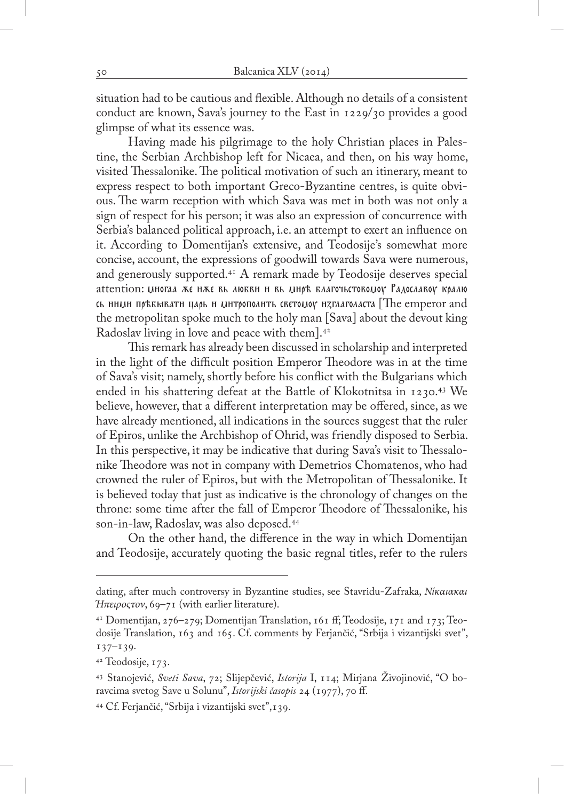situation had to be cautious and flexible. Although no details of a consistent conduct are known, Sava's journey to the East in 1229/30 provides a good glimpse of what its essence was.

Having made his pilgrimage to the holy Christian places in Palestine, the Serbian Archbishop left for Nicaea, and then, on his way home, visited Thessalonike. The political motivation of such an itinerary, meant to express respect to both important Greco-Byzantine centres, is quite obvious. The warm reception with which Sava was met in both was not only a sign of respect for his person; it was also an expression of concurrence with Serbia's balanced political approach, i.e. an attempt to exert an influence on it. According to Domentijan's extensive, and Teodosije's somewhat more concise, account, the expressions of goodwill towards Sava were numerous, and generously supported.41 A remark made by Teodosije deserves special attention: UHOTAA AE HAE BL AIOEBH H BL UHO' EAAFO'ILCTOBOLIOV PAAOCAABOV KOAAIO  $\alpha$  ними превывати царь и митрополить светомоу изглаголаста [The emperor and the metropolitan spoke much to the holy man [Sava] about the devout king Radoslav living in love and peace with them].42

This remark has already been discussed in scholarship and interpreted in the light of the difficult position Emperor Theodore was in at the time of Sava's visit; namely, shortly before his conflict with the Bulgarians which ended in his shattering defeat at the Battle of Klokotnitsa in 1230.43 We believe, however, that a different interpretation may be offered, since, as we have already mentioned, all indications in the sources suggest that the ruler of Epiros, unlike the Archbishop of Ohrid, was friendly disposed to Serbia. In this perspective, it may be indicative that during Sava's visit to Thessalonike Theodore was not in company with Demetrios Chomatenos, who had crowned the ruler of Epiros, but with the Metropolitan of Thessalonike. It is believed today that just as indicative is the chronology of changes on the throne: some time after the fall of Emperor Theodore of Thessalonike, his son-in-law, Radoslav, was also deposed.44

On the other hand, the difference in the way in which Domentijan and Teodosije, accurately quoting the basic regnal titles, refer to the rulers

dating, after much controversy in Byzantine studies, see Stavridu-Zafraka, *Νίκαιακαι Ήπειροςτον*, 69–71 (with earlier literature).

<sup>41</sup> Domentijan, 276–279; Domentijan Translation, 161 ff; Teodosije, 171 and 173; Teodosije Translation, 163 and 165. Cf. comments by Ferjančić, "Srbija i vizantijski svet", 137–139.

<sup>42</sup> Teodosije, 173.

<sup>43</sup> Stanojević, *Sveti Sava*, 72; Slijepčević, *Istorija* I, 114; Mirjana Živojinović, "O boravcima svetog Save u Solunu", *Istorijski časopis* 24 (1977), 70 ff.

<sup>44</sup> Cf. Ferjančić, "Srbija i vizantijski svet",139.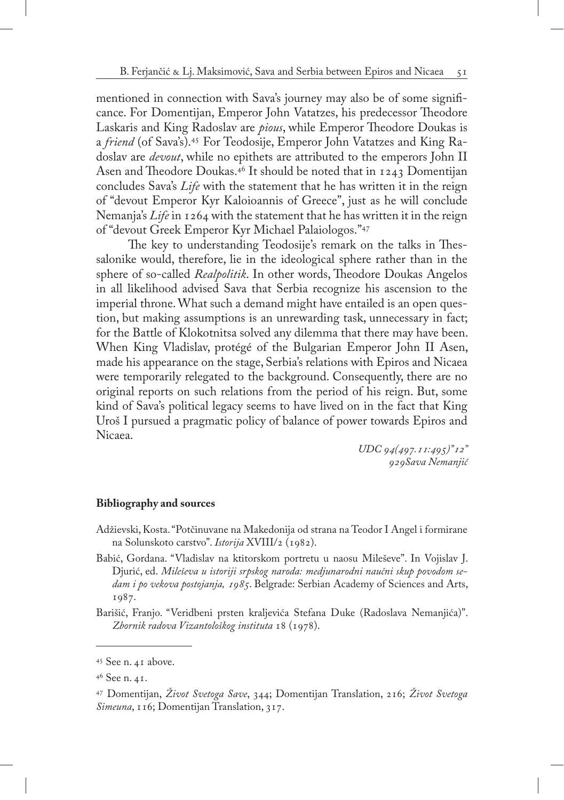mentioned in connection with Sava's journey may also be of some significance. For Domentijan, Emperor John Vatatzes, his predecessor Theodore Laskaris and King Radoslav are *pious*, while Emperor Theodore Doukas is a *friend* (of Sava's).45 For Teodosije, Emperor John Vatatzes and King Radoslav are *devout*, while no epithets are attributed to the emperors John II Asen and Theodore Doukas.46 It should be noted that in 1243 Domentijan concludes Sava's *Life* with the statement that he has written it in the reign of "devout Emperor Kyr Kaloioannis of Greece", just as he will conclude Nemanja's *Life* in 1264 with the statement that he has written it in the reign of "devout Greek Emperor Kyr Michael Palaiologos."47

The key to understanding Teodosije's remark on the talks in Thessalonike would, therefore, lie in the ideological sphere rather than in the sphere of so-called *Realpolitik*. In other words, Theodore Doukas Angelos in all likelihood advised Sava that Serbia recognize his ascension to the imperial throne. What such a demand might have entailed is an open question, but making assumptions is an unrewarding task, unnecessary in fact; for the Battle of Klokotnitsa solved any dilemma that there may have been. When King Vladislav, protégé of the Bulgarian Emperor John II Asen, made his appearance on the stage, Serbia's relations with Epiros and Nicaea were temporarily relegated to the background. Consequently, there are no original reports on such relations from the period of his reign. But, some kind of Sava's political legacy seems to have lived on in the fact that King Uroš I pursued a pragmatic policy of balance of power towards Epiros and Nicaea.

> *UDC 94(497.11:495)"12" 929Sava Nemanjić*

## **Bibliography and sources**

- Adžievski, Kosta. "Potčinuvane na Makedonija od strana na Teodor I Angel i formirane na Solunskoto carstvo". *Istorija* XVIII/2 (1982).
- Babić, Gordana. "Vladislav na ktitorskom portretu u naosu Mileševe". In Vojislav J. Djurić, ed. *Mileševa u istoriji srpskog naroda: medjunarodni naučni skup povodom sedam i po vekova postojanja, 1985*. Belgrade: Serbian Academy of Sciences and Arts, 1987.
- Barišić, Franjo. "Veridbeni prsten kraljevića Stefana Duke (Radoslava Nemanjića)". *Zbornik radova Vizantološkog instituta* 18 (1978).

<sup>45</sup> See n. 41 above.

<sup>46</sup> See n. 41.

<sup>47</sup> Domentijan, *Život Svetoga Save*, 344; Domentijan Translation, 216; *Život Svetoga Simeuna*, 116; Domentijan Translation, 317.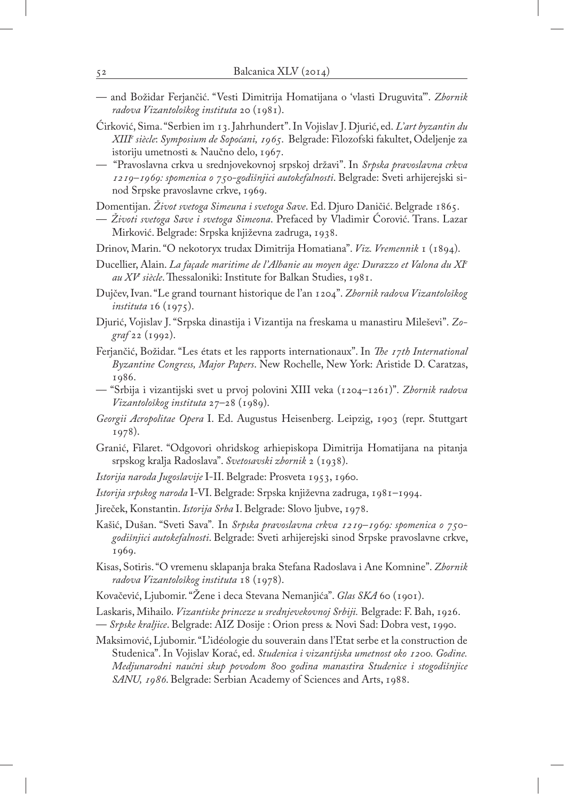- and Božidar Ferjančić. "Vesti Dimitrija Homatijana o 'vlasti Druguvita'". *Zbornik radova Vizantološkog instituta* 20 (1981).
- Ćirković, Sima. "Serbien im 13. Jahrhundert". In Vojislav J. Djurić, ed. *L'art byzantin du XIIIe siècle*: *Symposium de Sopoćani, 1965*. Belgrade: Filozofski fakultet, Odeljenje za istoriju umetnosti & Naučno delo, 1967.
- "Pravoslavna crkva u srednjovekovnoj srpskoj državi". In *Srpska pravoslavna crkva 1219–1969: spomenica o 750-godišnjici autokefalnosti*. Belgrade: Sveti arhijerejski sinod Srpske pravoslavne crkve, 1969.

Domentijan. *Život svetoga Simeuna i svetoga Save*. Ed. Djuro Daničić. Belgrade 1865.

- *Životi svetoga Save i svetoga Simeona*. Prefaced by Vladimir Ćorović. Trans. Lazar Mirković. Belgrade: Srpska književna zadruga, 1938.
- Drinov, Marin. "O nekotoryx trudax Dimitrija Homatiana". *Viz. Vremennik* 1 (1894).
- Ducellier, Alain. *La façade maritime de l'Albanie au moyen âge: Durazzo et Valona du XIe au XVe siècle*. Thessaloniki: Institute for Balkan Studies, 1981.
- Dujčev, Ivan. "Le grand tournant historique de l'an 1204". *Zbornik radova Vizantološkog instituta* 16 (1975).
- Djurić, Vojislav J. "Srpska dinastija i Vizantija na freskama u manastiru Mileševi". *Zograf* 22 (1992).
- Ferjančić, Božidar. "Les états et les rapports internationaux". In *The 17th International Byzantine Congress, Major Papers*. New Rochelle, New York: Aristide D. Caratzas, 1986.
- "Srbija i vizantijski svet u prvoj polovini XIII veka (1204–1261)". *Zbornik radova Vizantološkog instituta* 27–28 (1989).
- *Georgii Acropolitae Opera* I. Ed. Augustus Heisenberg. Leipzig, 1903 (repr. Stuttgart 1978).
- Granić, Filaret. "Odgovori ohridskog arhiepiskopa Dimitrija Homatijana na pitanja srpskog kralja Radoslava". *Svetosavski zbornik* 2 (1938).
- *Istorija naroda Jugoslavije* I-II. Belgrade: Prosveta 1953, 1960.
- *Istorija srpskog naroda* I-VI. Belgrade: Srpska književna zadruga, 1981–1994.
- Jireček, Konstantin. *Istorija Srba* I. Belgrade: Slovo ljubve, 1978.
- Kašić, Dušan. "Sveti Sava"*.* In *Srpska pravoslavna crkva 1219–1969: spomenica o 750 godišnjici autokefalnosti*. Belgrade: Sveti arhijerejski sinod Srpske pravoslavne crkve, 1969.
- Kisas, Sotiris. "O vremenu sklapanja braka Stefana Radoslava i Ane Komnine". *Zbornik radova Vizantološkog instituta* 18 (1978).
- Kovačević, Ljubomir. "Žene i deca Stevana Nemanjića". *Glas SKA* 60 (1901).
- Laskaris, Mihailo. *Vizantiske princeze u srednjevekovnoj Srbiji.* Belgrade: F. Bah, 1926.
- *Srpske kraljice*. Belgrade: AIZ Dosije : Orion press & Novi Sad: Dobra vest, 1990.
- Maksimović, Ljubomir. "L'idéologie du souverain dans l'Etat serbe et la construction de Studenica". In Vojislav Korać, ed. *Studenica i vizantijska umetnost oko 1200. Godine. Medjunarodni naučni skup povodom 800 godina manastira Studenice i stogodišnjice SANU, 1986*. Belgrade: Serbian Academy of Sciences and Arts, 1988.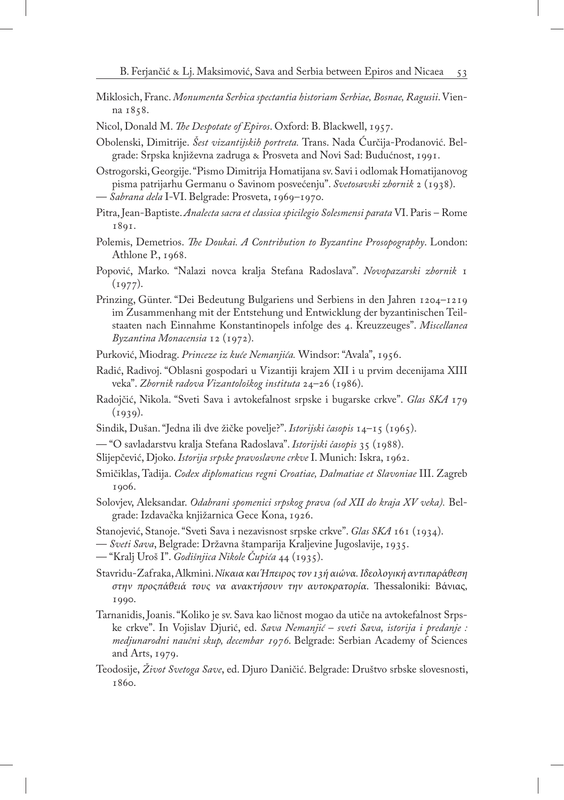- Miklosich, Franc. *Monumenta Serbica spectantia historiam Serbiae, Bosnae, Ragusii*. Vienna 1858.
- Nicol, Donald M. *The Despotate of Epiros*. Oxford: B. Blackwell, 1957.
- Obolenski, Dimitrije. *Šest vizantijskih portreta.* Trans. Nada Ćurčija-Prodanović. Belgrade: Srpska književna zadruga & Prosveta and Novi Sad: Budućnost, 1991.

Ostrogorski, Georgije. "Pismo Dimitrija Homatijana sv. Savi i odlomak Homatijanovog pisma patrijarhu Germanu o Savinom posvećenju". *Svetosavski zbornik* 2 (1938). — *Sabrana dela* I-VI. Belgrade: Prosveta, 1969–1970.

- Pitra, Jean-Baptiste. *Analecta sacra et classica spicilegio Solesmensi parata* VI. Paris Rome 1891.
- Polemis, Demetrios. *The Doukai. A Contribution to Byzantine Prosopography*. London: Athlone P., 1968.
- Popović, Marko. "Nalazi novca kralja Stefana Radoslava". *Novopazarski zbornik* 1  $(1977).$
- Prinzing, Günter. "Dei Bedeutung Bulgariens und Serbiens in den Jahren 1204–1219 im Zusammenhang mit der Entstehung und Entwicklung der byzantinischen Teilstaaten nach Einnahme Konstantinopels infolge des 4. Kreuzzeuges". *Miscellanea Byzantina Monacensia* 12 (1972).
- Purković, Miodrag. *Princeze iz kuće Nemanjića.* Windsor: "Avala", 1956.
- Radić, Radivoj. "Oblasni gospodari u Vizantiji krajem XII i u prvim decenijama XIII veka". *Zbornik radova Vizantološkog instituta* 24–26 (1986).
- Radojčić, Nikola. "Sveti Sava i avtokefalnost srpske i bugarske crkve". *Glas SKA* 179  $(1939).$
- Sindik, Dušan. "Jedna ili dve žičke povelje?". *Istorijski časopis* 14–15 (1965).
- "O savladarstvu kralja Stefana Radoslava". *Istorijski časopis* 35 (1988).
- Slijepčević, Djoko. *Istorija srpske pravoslavne crkve* I. Munich: Iskra, 1962.
- Smičiklas, Tadija. *Codex diplomaticus regni Croatiae, Dalmatiae et Slavoniae* III. Zagreb 1906.
- Solovjev, Aleksandar. *Odabrani spomenici srpskog prava (od XII do kraja XV veka).* Belgrade: Izdavačka knjižarnica Gece Kona, 1926.
- Stanojević, Stanoje. "Sveti Sava i nezavisnost srpske crkve". *Glas SKA* 161 (1934).
- *Sveti Sava*, Belgrade: Državna štamparija Kraljevine Jugoslavije, 1935.
- "Kralj Uroš I". *Godišnjica Nikole Čupića* 44 (1935).
- Stavridu-Zafraka, Alkmini. *Νίκαια και Ήπειρος τον 13ή αιώνα. Ιδεολογική αντιπαράθεση στην προςπάθειά τους να ανακτήσουν την αυτοκρατορία*. Thessaloniki: Βάνιας, 1990.
- Tarnanidis, Joanis. "Koliko je sv. Sava kao ličnost mogao da utiče na avtokefalnost Srpske crkve". In Vojislav Djurić, ed. *Sava Nemanjić – sveti Sava, istorija i predanje : medjunarodni naučni skup, decembar 1976*. Belgrade: Serbian Academy of Sciences and Arts, 1979.
- Teodosije, *Život Svetoga Save*, ed. Djuro Daničić. Belgrade: Društvo srbske slovesnosti, 1860.